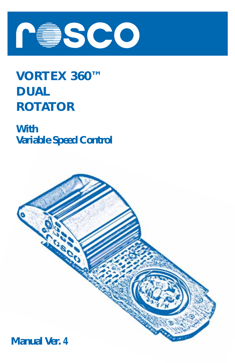

# **VORTEX 360™ DUAL ROTATOR**

**With Variable Speed Control**

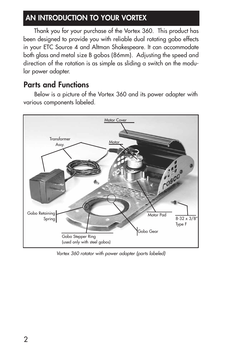# **AN INTRODUCTION TO YOUR VORTEX**

Thank you for your purchase of the Vortex 360. This product has been designed to provide you with reliable dual rotating gobo effects in your ETC Source 4 and Altman Shakespeare. It can accommodate both glass and metal size B gobos (86mm). Adjusting the speed and direction of the rotation is as simple as sliding a switch on the modular power adapter.

# **Parts and Functions**

Below is a picture of the Vortex 360 and its power adapter with various components labeled.



Vortex 360 rotator with power adapter (parts labeled)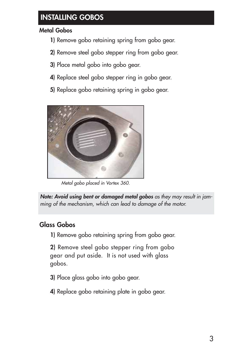# *INSTALLING GOBOS*

### *Metal Gobos*

- *1) Remove gobo retaining spring from gobo gear.*
- *2) Remove steel gobo stepper ring from gobo gear.*
- *3) Place metal gobo into gobo gear.*
- *4) Replace steel gobo stepper ring in gobo gear.*
- *5) Replace gobo retaining spring in gobo gear.*



*Metal gobo placed in Vortex 360.*

*Note: Avoid using bent or damaged metal gobos as they may result in jamming of the mechanism, which can lead to damage of the motor.*

### *Glass Gobos*

*1) Remove gobo retaining spring from gobo gear.*

*2) Remove steel gobo stepper ring from gobo gear and put aside. It is not used with glass gobos.*

- *3) Place glass gobo into gobo gear.*
- *4) Replace gobo retaining plate in gobo gear.*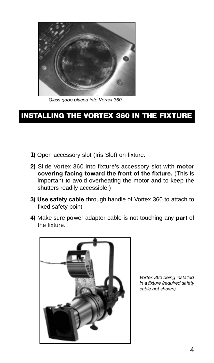

*Glass gobo placed into Vortex 360.*

# **INSTALLING THE VORTEX 360 IN THE FIXTURE**

- **1)** Open accessory slot (Iris Slot) on fixture.
- 2) Slide Vortex 360 into fixture's accessory slot with motor **covering facing toward the front of the fixture.** (This is important to avoid overheating the motor and to keep the shutters readily accessible.)
- **3) Use safety cable** through handle of Vortex 360 to attach to fixed safety point.
- **4)** Make sure power adapter cable is not touching any **part** of the fixture.



*Vortex 360 being installed in a fixture (required safety cable not shown).*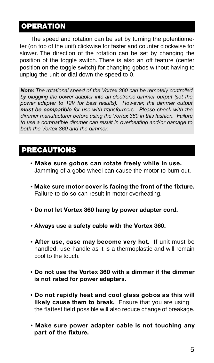### **OPERATION**

The speed and rotation can be set by turning the potentiometer (on top of the unit) clickwise for faster and counter clockwise for slower. The direction of the rotation can be set by changing the position of the toggle switch. There is also an off feature (center position on the toggle switch) for changing gobos without having to unplug the unit or dial down the speed to 0.

**Note:** The rotational speed of the Vortex 360 can be remotely controlled *by plugging the power adapter into an electronic dimmer output (set the power adapter to 12V for best results). However, the dimmer output must be compatible for use with transformers. Please check with the dimmer manufacturer before using the Vortex 360 in this fashion. Failure to use a compatible dimmer can result in overheating and/or damage to both the Vortex 360 and the dimmer.*

# **PRECAUTIONS**

- **Make sure gobos can rotate freely while in use.** Jamming of a gobo wheel can cause the motor to burn out.
- **Make sure motor cover is facing the front of the fixture .** Failure to do so can result in motor overheating.
- **Do not let Vortex 360 hang by power adapter cord.**
- **Always use a safety cable with the Vortex 360.**
- **After use, case may become very hot.** If unit must be handled, use handle as it is a thermoplastic and will remain cool to the touch.
- **Do not use the Vo rtex 360 with a dimmer if the dimmer is not rated for power adapters.**
- **Do not rapidly heat and cool glass gobos as this will** likely cause them to break. Ensure that you are using the flattest field possible will also reduce change of breakage.
- **Make sure power adapter cable is not touching any** part of the fixture.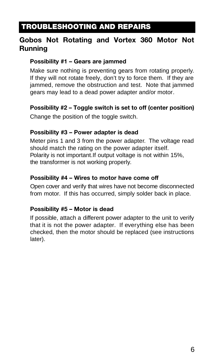# **TROUBLESHOOTING AND REPAIRS**

### **Gobos Not Rotating and Vortex 360 Motor Not Running**

#### **Possibility #1 – Gears are jammed**

Make sure nothing is preventing gears from rotating properly. If they will not rotate freely, don't try to force them. If they are jammed, remove the obstruction and test. Note that jammed gears may lead to a dead power adapter and/or motor.

#### **Possibility #2 – Toggle switch is set to off (center position)**

Change the position of the toggle switch.

#### **Possibility #3 – Power adapter is dead**

Meter pins 1 and 3 from the power adapter. The voltage read should match the rating on the power adapter itself. Polarity is not important.If output voltage is not within 15%, the transformer is not working properly.

#### **Possibility #4 – Wires to motor have come off**

Open cover and verify that wires have not become disconnected from motor. If this has occurred, simply solder back in place.

#### **Possibility #5 – Motor is dead**

If possible, attach a different power adapter to the unit to verify that it is not the power adapter. If everything else has been checked, then the motor should be replaced (see instructions later).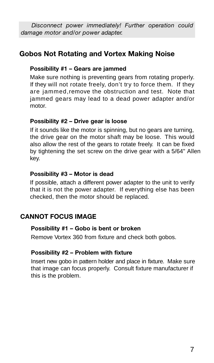*Disconnect power immediately! Further operation could damage motor and/or power adapter.*

### **Gobos Not Rotating and Vortex Making Noise**

#### **Possibility #1 – Gears are jammed**

Make sure nothing is preventing gears from rotating properly. If they will not rotate freely, don't try to force them. If they are jammed, remove the obstruction and test. Note that jammed gears may lead to a dead power adapter and/or motor.

#### **Possibility #2 – Drive gear is loose**

If it sounds like the motor is spinning, but no gears are turning, the drive gear on the motor shaft may be loose. This would also allow the rest of the gears to rotate freely. It can be fixed by tightening the set screw on the drive gear with a 5/64" Allen key.

#### **Possibility #3 – Motor is dead**

If possible, attach a different power adapter to the unit to verify that it is not the power adapter. If everything else has been checked, then the motor should be replaced.

#### **CANNOT FOCUS IMAGE**

#### **Possibility #1 – Gobo is bent or broken**

Remove Vortex 360 from fixture and check both gobos.

#### **Possibility #2 – Problem with fixture**

Insert new gobo in pattern holder and place in fixture. Make sure that image can focus properly. Consult fixture manufacturer if this is the problem.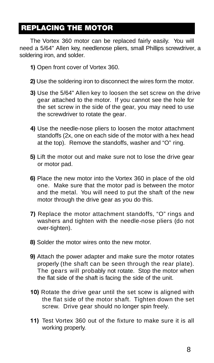# **REPLACING THE MOTOR**

The Vortex 360 motor can be replaced fairly easily. You will need a 5/64" Allen key, needlenose pliers, small Phillips screwdriver, a soldering iron, and solder.

- **1)** Open front cover of Vortex 360.
- **2)** Use the soldering iron to disconnect the wires form the motor.
- **3)** Use the 5/64" Allen key to loosen the set screw on the drive gear attached to the motor. If you cannot see the hole for the set screw in the side of the gear, you may need to use the screwdriver to rotate the gear.
- **4)** Use the needle-nose pliers to loosen the motor attachment standoffs (2x, one on each side of the motor with a hex head at the top). Remove the standoffs, washer and "O" ring.
- **5)** Lift the motor out and make sure not to lose the drive gear or motor pad.
- **6)** Place the new motor into the Vortex 360 in place of the old one. Make sure that the motor pad is between the motor and the metal. You will need to put the shaft of the new motor through the drive gear as you do this.
- **7)** Replace the motor attachment standoffs, "O" rings and washers and tighten with the needle-nose pliers (do not over-tighten).
- **8)** Solder the motor wires onto the new motor.
- **9)** Attach the power adapter and make sure the motor rotates properly (the shaft can be seen through the rear plate). The gears will probably not rotate. Stop the motor when the flat side of the shaft is facing the side of the unit.
- **10)** Rotate the drive gear until the set scew is aligned with the flat side of the motor shaft. Tighten down the set screw. Drive gear should no longer spin freely.
- **11)** Test Vortex 360 out of the fixture to make sure it is all working properly.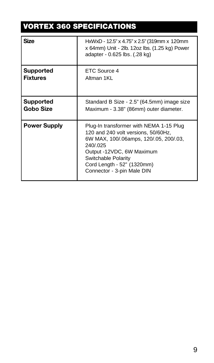# **VORTEX 360 SPECIFICATIONS**

| <b>Size</b>         | HxWxD - 12.5" x 4.75" x 2.5" (319mm x 120mm<br>x 64mm) Unit - 2lb. 12oz lbs. (1.25 kg) Power<br>adapter - 0.625 lbs. (.28 kg)                                                                                                                        |
|---------------------|------------------------------------------------------------------------------------------------------------------------------------------------------------------------------------------------------------------------------------------------------|
| <b>Supported</b>    | ETC Source 4                                                                                                                                                                                                                                         |
| <b>Fixtures</b>     | Altman 1KL                                                                                                                                                                                                                                           |
| <b>Supported</b>    | Standard B Size - 2.5" (64.5mm) image size                                                                                                                                                                                                           |
| Gobo Size           | Maximum - 3.38" (86mm) outer diameter.                                                                                                                                                                                                               |
| <b>Power Supply</b> | Plug-In transformer with NEMA 1-15 Plug<br>120 and 240 volt versions, 50/60Hz,<br>6W MAX, 100/.06amps, 120/.05, 200/.03,<br>240/.025<br>Output -12VDC, 6W Maximum<br>Switchable Polarity<br>Cord Length - 52" (1320mm)<br>Connector - 3-pin Male DIN |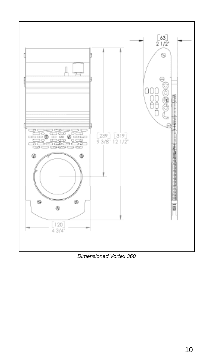

*Dimensioned Vortex 360*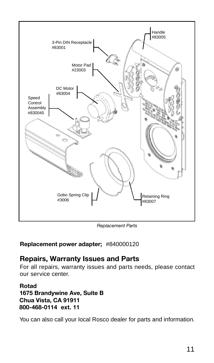

*Replacement Parts*

#### **Replacement power adapter;** #840000120

### **Repairs, Warranty Issues and Parts**

For all repairs, warranty issues and parts needs, please contact our service center.

#### **Rotad 1675 Brandywine Ave, Suite B Chua Vista, CA 91911 800-468-0114 ext. 11**

You can also call your local Rosco dealer for parts and information.